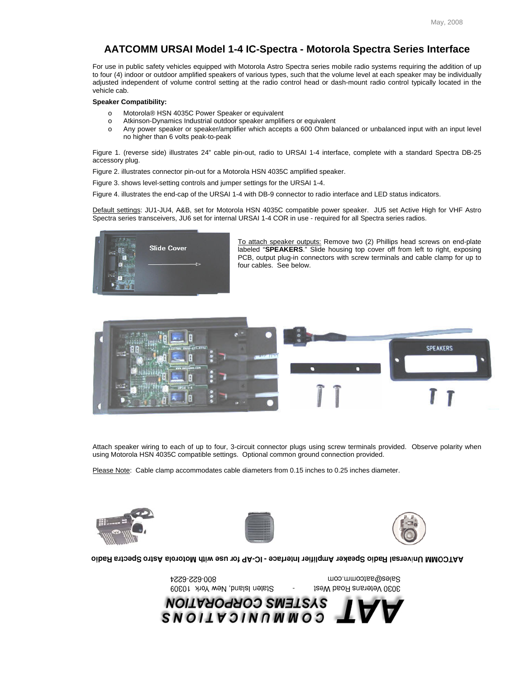## **AATCOMM URSAI Model 1-4 IC-Spectra - Motorola Spectra Series Interface**

For use in public safety vehicles equipped with Motorola Astro Spectra series mobile radio systems requiring the addition of up to four (4) indoor or outdoor amplified speakers of various types, such that the volume level at each speaker may be individually adjusted independent of volume control setting at the radio control head or dash-mount radio control typically located in the vehicle cab.

## **Speaker Compatibility:**

- o Motorola® HSN 4035C Power Speaker or equivalent
- o Atkinson-Dynamics Industrial outdoor speaker amplifiers or equivalent
- o Any power speaker or speaker/amplifier which accepts a 600 Ohm balanced or unbalanced input with an input level no higher than 6 volts peak-to-peak

Figure 1. (reverse side) illustrates 24" cable pin-out, radio to URSAI 1-4 interface, complete with a standard Spectra DB-25 accessory plug.

Figure 2. illustrates connector pin-out for a Motorola HSN 4035C amplified speaker.

Figure 3. shows level-setting controls and jumper settings for the URSAI 1-4.

Figure 4. illustrates the end-cap of the URSAI 1-4 with DB-9 connector to radio interface and LED status indicators.

Default settings: JU1-JU4, A&B, set for Motorola HSN 4035C compatible power speaker. JU5 set Active High for VHF Astro Spectra series transceivers, JU6 set for internal URSAI 1-4 COR in use - required for all Spectra series radios.



To attach speaker outputs: Remove two (2) Phillips head screws on end-plate labeled "**SPEAKERS**." Slide housing top cover off from left to right, exposing PCB, output plug-in connectors with screw terminals and cable clamp for up to four cables. See below.



Attach speaker wiring to each of up to four, 3-circuit connector plugs using screw terminals provided. Observe polarity when using Motorola HSN 4035C compatible settings. Optional common ground connection provided.

Please Note: Cable clamp accommodates cable diameters from 0.15 inches to 0.25 inches diameter.

800-622-6224







oibsR stro Spectra Radio Speaker Amplifier Interface - IC-AP for use with Motorola Astro Spectra Radio